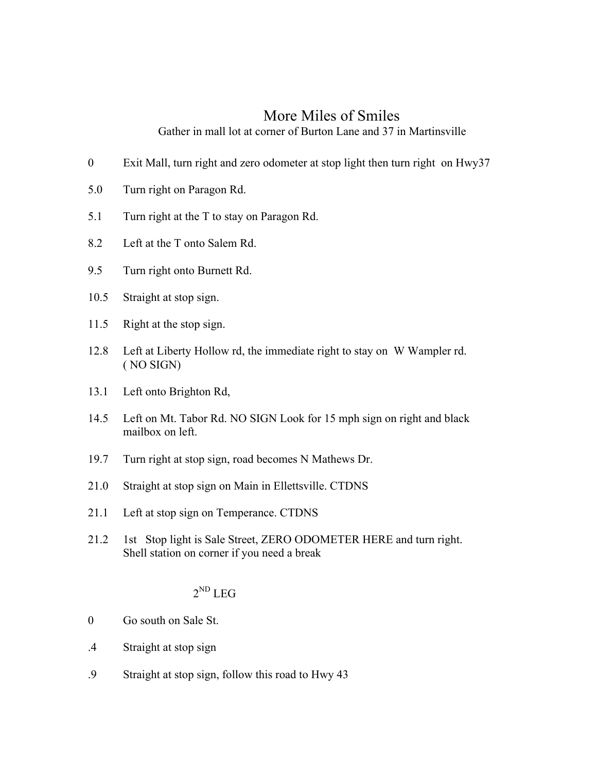## More Miles of Smiles

Gather in mall lot at corner of Burton Lane and 37 in Martinsville

- 0 Exit Mall, turn right and zero odometer at stop light then turn right on Hwy37
- 5.0 Turn right on Paragon Rd.
- 5.1 Turn right at the T to stay on Paragon Rd.
- 8.2 Left at the T onto Salem Rd.
- 9.5 Turn right onto Burnett Rd.
- 10.5 Straight at stop sign.
- 11.5 Right at the stop sign.
- 12.8 Left at Liberty Hollow rd, the immediate right to stay on W Wampler rd. ( NO SIGN)
- 13.1 Left onto Brighton Rd,
- 14.5 Left on Mt. Tabor Rd. NO SIGN Look for 15 mph sign on right and black mailbox on left.
- 19.7 Turn right at stop sign, road becomes N Mathews Dr.
- 21.0 Straight at stop sign on Main in Ellettsville. CTDNS
- 21.1 Left at stop sign on Temperance. CTDNS
- 21.2 1st Stop light is Sale Street, ZERO ODOMETER HERE and turn right. Shell station on corner if you need a break

## $2^{ND}$  LEG

- 0 Go south on Sale St.
- .4 Straight at stop sign
- .9 Straight at stop sign, follow this road to Hwy 43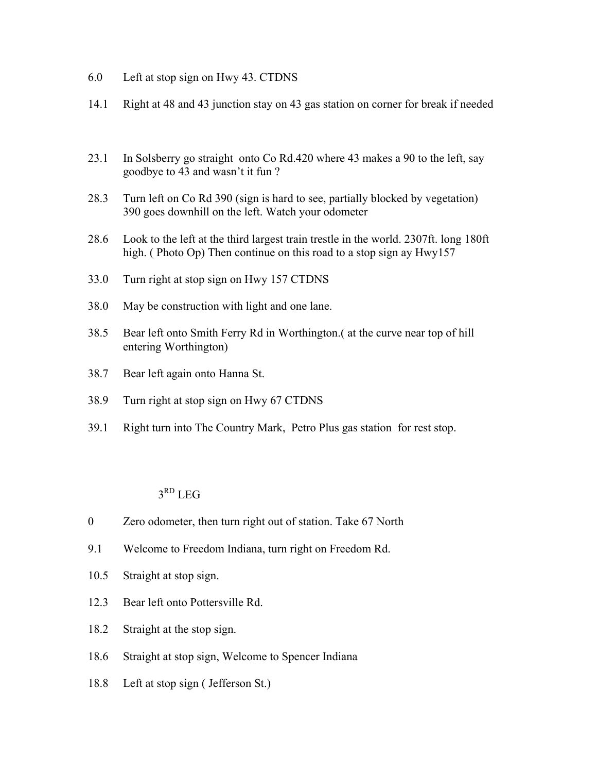- 6.0 Left at stop sign on Hwy 43. CTDNS
- 14.1 Right at 48 and 43 junction stay on 43 gas station on corner for break if needed
- 23.1 In Solsberry go straight onto Co Rd.420 where 43 makes a 90 to the left, say goodbye to 43 and wasn't it fun ?
- 28.3 Turn left on Co Rd 390 (sign is hard to see, partially blocked by vegetation) 390 goes downhill on the left. Watch your odometer
- 28.6 Look to the left at the third largest train trestle in the world. 2307ft. long 180ft high. ( Photo Op) Then continue on this road to a stop sign ay Hwy157
- 33.0 Turn right at stop sign on Hwy 157 CTDNS
- 38.0 May be construction with light and one lane.
- 38.5 Bear left onto Smith Ferry Rd in Worthington.( at the curve near top of hill entering Worthington)
- 38.7 Bear left again onto Hanna St.
- 38.9 Turn right at stop sign on Hwy 67 CTDNS
- 39.1 Right turn into The Country Mark, Petro Plus gas station for rest stop.

## $3<sup>RD</sup>$  LEG

- 0 Zero odometer, then turn right out of station. Take 67 North
- 9.1 Welcome to Freedom Indiana, turn right on Freedom Rd.
- 10.5 Straight at stop sign.
- 12.3 Bear left onto Pottersville Rd.
- 18.2 Straight at the stop sign.
- 18.6 Straight at stop sign, Welcome to Spencer Indiana
- 18.8 Left at stop sign ( Jefferson St.)